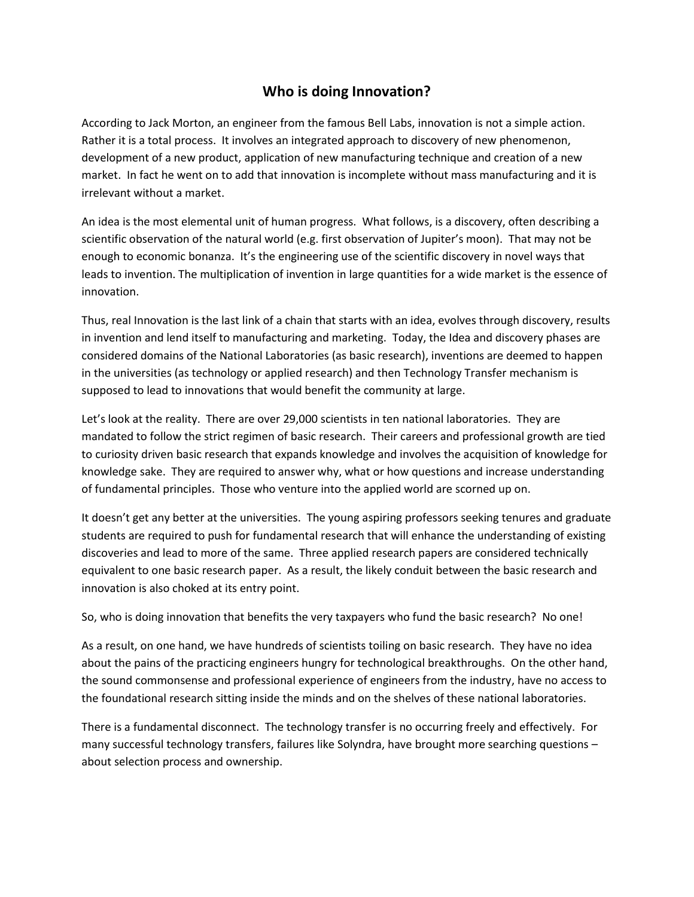## **Who is doing Innovation?**

According to Jack Morton, an engineer from the famous Bell Labs, innovation is not a simple action. Rather it is a total process. It involves an integrated approach to discovery of new phenomenon, development of a new product, application of new manufacturing technique and creation of a new market. In fact he went on to add that innovation is incomplete without mass manufacturing and it is irrelevant without a market.

An idea is the most elemental unit of human progress. What follows, is a discovery, often describing a scientific observation of the natural world (e.g. first observation of Jupiter's moon). That may not be enough to economic bonanza. It's the engineering use of the scientific discovery in novel ways that leads to invention. The multiplication of invention in large quantities for a wide market is the essence of innovation.

Thus, real Innovation is the last link of a chain that starts with an idea, evolves through discovery, results in invention and lend itself to manufacturing and marketing. Today, the Idea and discovery phases are considered domains of the National Laboratories (as basic research), inventions are deemed to happen in the universities (as technology or applied research) and then Technology Transfer mechanism is supposed to lead to innovations that would benefit the community at large.

Let's look at the reality. There are over 29,000 scientists in ten national laboratories. They are mandated to follow the strict regimen of basic research. Their careers and professional growth are tied to curiosity driven basic research that expands knowledge and involves the acquisition of knowledge for knowledge sake. They are required to answer why, what or how questions and increase understanding of fundamental principles. Those who venture into the applied world are scorned up on.

It doesn't get any better at the universities. The young aspiring professors seeking tenures and graduate students are required to push for fundamental research that will enhance the understanding of existing discoveries and lead to more of the same. Three applied research papers are considered technically equivalent to one basic research paper. As a result, the likely conduit between the basic research and innovation is also choked at its entry point.

So, who is doing innovation that benefits the very taxpayers who fund the basic research? No one!

As a result, on one hand, we have hundreds of scientists toiling on basic research. They have no idea about the pains of the practicing engineers hungry for technological breakthroughs. On the other hand, the sound commonsense and professional experience of engineers from the industry, have no access to the foundational research sitting inside the minds and on the shelves of these national laboratories.

There is a fundamental disconnect. The technology transfer is no occurring freely and effectively. For many successful technology transfers, failures like Solyndra, have brought more searching questions – about selection process and ownership.